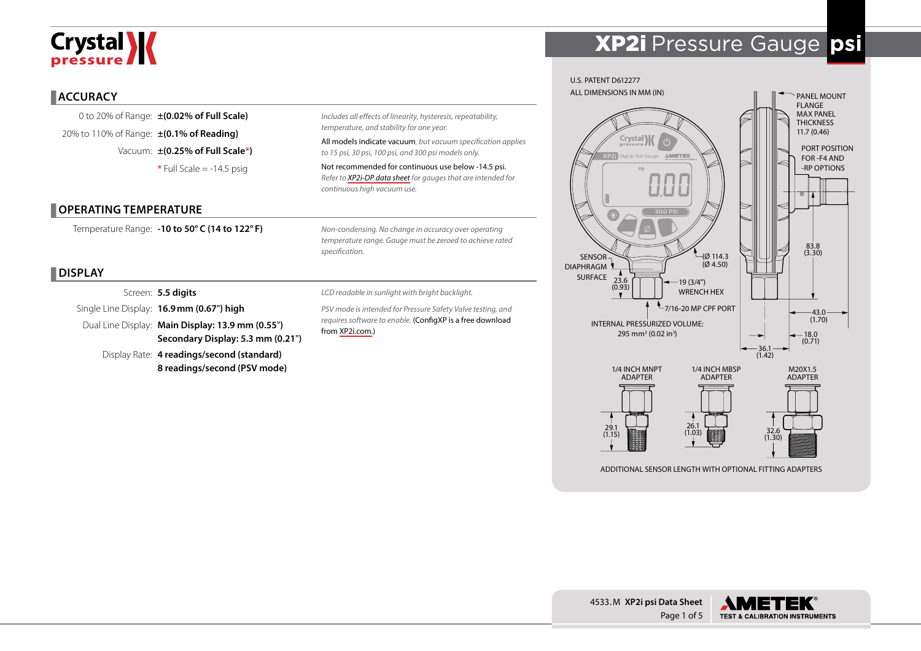# Crystal **X**

#### **ACCURACY**

0 to 20% of Range: **±(0.02% of Full Scale)** 20% to 110% of Range: **±(0.1% of Reading)** Vacuum: **±(0.25% of Full Scale\*)**  $*$  Full Scale  $= -14.5$  psig

#### **OPERATING TEMPERATURE**

Temperature Range: **-10 to 50° C (14 to 122° F)**

#### **DISPLAY**

Screen: **5.5 digits** Single Line Display: **16.9mm (0.67**"**) high**

Dual Line Display: **Main Display: 13.9 mm (0.55**"**) Secondary Display: 5.3 mm (0.21**"**)**

> Display Rate: **4 readings/second (standard) 8 readings/second (PSV mode)**

*Includes all effects of linearity, hysteresis, repeatability, temperature, and stability for one year.*

All models indicate vacuum, *but vacuum specification applies to 15 psi, 30 psi, 100 psi, and 300 psi models only.*

Not recommended for continuous use below -14.5 psi. *Refer to [XP2i-DP data sheet](http://www.crystalengineering.net/downloads/xp2idp) for gauges that are intended for continuous high vacuum use.* 

*Non-condensing. No change in accuracy over operating temperature range. Gauge must be zeroed to achieve rated specification.*

*LCD readable in sunlight with bright backlight.*

*PSV mode is intended for Pressure Safety Valve testing, and requires software to enable.* (ConfigXP is a free download from [XP2i.com](http://www.xp2i.com).)



XP2i Pressure Gauge **psi**



ADDITIONAL SENSOR LENGTH WITH OPTIONAL FITTING ADAPTERS

4533.M **XP2i psi Data Sheet** Page 1 of 5

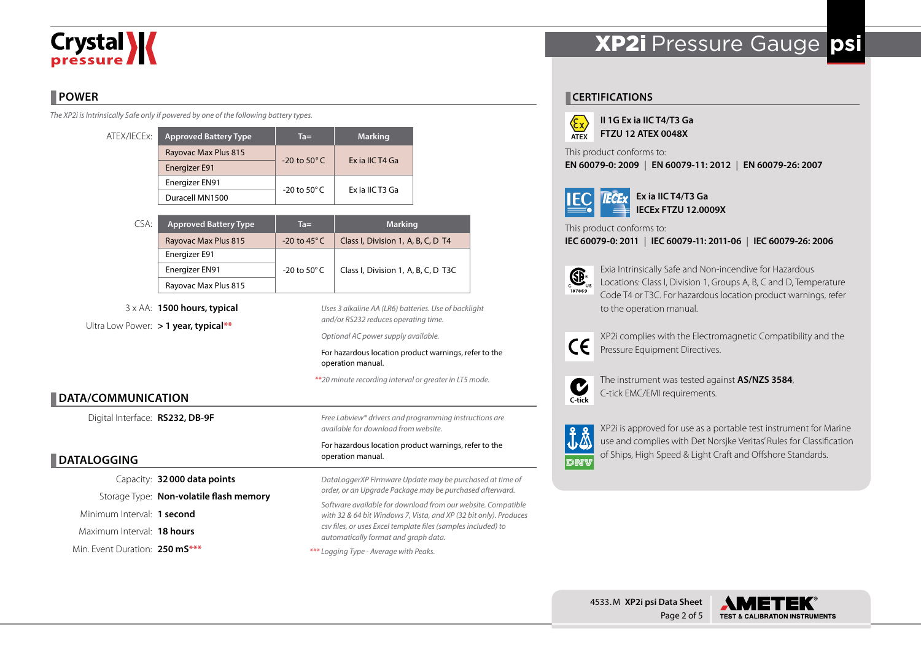# Crystal **W**

#### **POWER**

*The XP2i is Intrinsically Safe only if powered by one of the following battery types.*

| ATEX/IECEx: | <b>Approved Battery Type</b> | $Ta =$                  | <b>Marking</b>  |  |  |
|-------------|------------------------------|-------------------------|-----------------|--|--|
|             | Rayovac Max Plus 815         | $-20$ to $50^{\circ}$ C | Ex ia IIC T4 Ga |  |  |
|             | <b>Energizer E91</b>         |                         |                 |  |  |
|             | Energizer EN91               | -20 to 50 $^{\circ}$ C  | Ex ia IIC T3 Ga |  |  |
|             | Duracell MN1500              |                         |                 |  |  |

| CSA:          | <b>Approved Battery Type</b> | $Ta =$                  | <b>Marking</b>                      |  |  |
|---------------|------------------------------|-------------------------|-------------------------------------|--|--|
|               | Rayovac Max Plus 815         | $-20$ to 45 $\degree$ C | Class I, Division 1, A, B, C, D T4  |  |  |
| Energizer E91 |                              |                         |                                     |  |  |
|               | Energizer EN91               | -20 to 50 $^{\circ}$ C  | Class I, Division 1, A, B, C, D T3C |  |  |
|               | Rayovac Max Plus 815         |                         |                                     |  |  |

3 x AA: **1500 hours, typical** Ultra Low Power: **> 1 year, typical\*\***

*Uses 3 alkaline AA (LR6) batteries. Use of backlight and/or RS232 reduces operating time.*

*Optional AC power supply available.*

For hazardous location product warnings, refer to the operation manual.

*\*\*20 minute recording interval or greater in LT5 mode.*

#### **DATA/COMMUNICATION**

Digital Interface: **RS232, DB-9F**

#### **DATALOGGING**

Capacity: **32000 data points** Storage Type: **Non-volatile flash memory** Minimum Interval: **1 second** Maximum Interval: **18 hours** Min. Event Duration: **250 mS\*\*\***

*Free Labview® drivers and programming instructions are available for download from website.*

#### For hazardous location product warnings, refer to the operation manual.

*DataLoggerXP Firmware Update may be purchased at time of order, or an Upgrade Package may be purchased afterward. Software available for download from our website. Compatible with 32 & 64 bit Windows 7, Vista, and XP (32 bit only). Produces csv files, or uses Excel template files (samples included) to automatically format and graph data.*



## XP2i Pressure Gauge **psi**

#### **CERTIFICATIONS**



**II 1G Ex ia IIC T4/T3 Ga FTZU 12 ATEX 0048X**

This product conforms to:

**EN 60079-0: 2009 | EN 60079-11: 2012 | EN 60079-26: 2007**



**Ex ia IIC T4/T3 Ga IECEx FTZU 12.0009X**

This product conforms to:

**IEC 60079-0: 2011 | IEC 60079-11: 2011-06 | IEC 60079-26: 2006**



Exia Intrinsically Safe and Non-incendive for Hazardous Locations: Class I, Division 1, Groups A, B, C and D, Temperature Code T4 or T3C. For hazardous location product warnings, refer to the operation manual.



XP2i complies with the Electromagnetic Compatibility and the Pressure Equipment Directives.



The instrument was tested against **AS/NZS 3584**, C-tick EMC/EMI requirements.



XP2i is approved for use as a portable test instrument for Marine use and complies with Det Norsjke Veritas' Rules for Classification of Ships, High Speed & Light Craft and Offshore Standards.

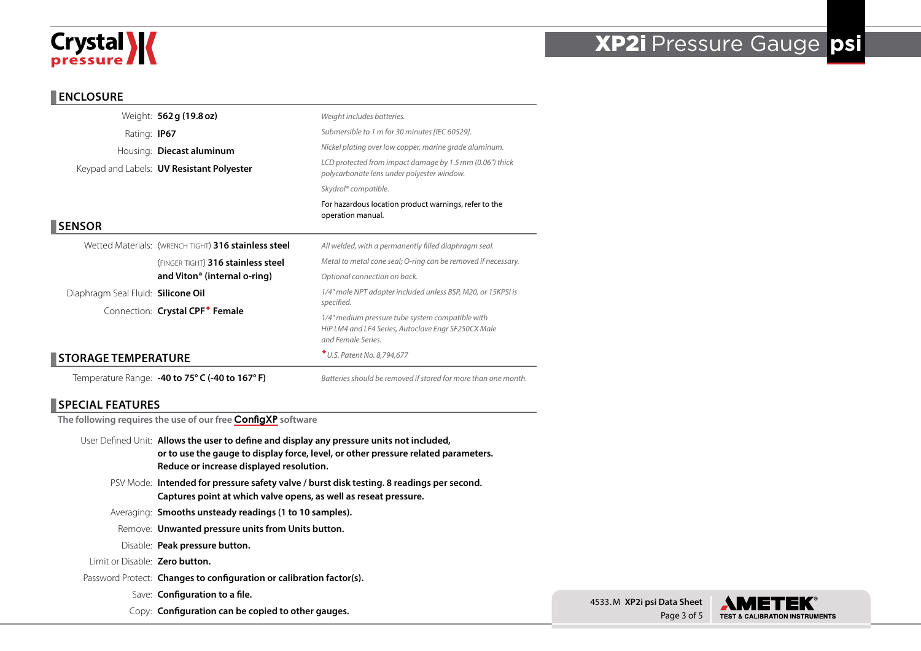# Crystal **X**

## XP2i Pressure Gauge **psi**

#### **ENCLOSURE**

**SENSOR**

|                                    | Weight: 562 g (19.8 oz)                                | Weight includes batteries.                                                                                                                                                  |  |  |  |  |
|------------------------------------|--------------------------------------------------------|-----------------------------------------------------------------------------------------------------------------------------------------------------------------------------|--|--|--|--|
| Rating: <b>IP67</b>                |                                                        | Submersible to 1 m for 30 minutes [IEC 60529].                                                                                                                              |  |  |  |  |
|                                    | Housing: <b>Diecast aluminum</b>                       | Nickel plating over low copper, marine grade aluminum.                                                                                                                      |  |  |  |  |
|                                    | Keypad and Labels: <b>UV Resistant Polyester</b>       | LCD protected from impact damage by 1.5 mm (0.06") thick<br>polycarbonate lens under polyester window.                                                                      |  |  |  |  |
|                                    |                                                        | Skydrol® compatible.                                                                                                                                                        |  |  |  |  |
|                                    |                                                        | For hazardous location product warnings, refer to the<br>operation manual.                                                                                                  |  |  |  |  |
| <b>SENSOR</b>                      |                                                        |                                                                                                                                                                             |  |  |  |  |
|                                    | Wetted Materials: (WRENCH TIGHT) 316 stainless steel   | All welded, with a permanently filled diaphragm seal.                                                                                                                       |  |  |  |  |
|                                    | (FINGER TIGHT) 316 stainless steel                     | Metal to metal cone seal; O-ring can be removed if necessary.<br>Optional connection on back.<br>1/4" male NPT adapter included unless BSP, M20, or 15KPSI is<br>specified. |  |  |  |  |
|                                    | and Viton <sup>®</sup> (internal o-ring)               |                                                                                                                                                                             |  |  |  |  |
| Diaphragm Seal Fluid: Silicone Oil |                                                        |                                                                                                                                                                             |  |  |  |  |
|                                    | Connection: Crystal CPF <sup>*</sup> Female            |                                                                                                                                                                             |  |  |  |  |
|                                    |                                                        | 1/4" medium pressure tube system compatible with<br>HiP LM4 and LF4 Series, Autoclave Engr SF250CX Male<br>and Female Series.                                               |  |  |  |  |
| <b>STORAGE TEMPERATURE</b>         |                                                        | * U.S. Patent No. 8,794,677                                                                                                                                                 |  |  |  |  |
|                                    | Temperature Range: <b>-40 to 75° C (-40 to 167° F)</b> | Batteries should be removed if stored for more than one month.                                                                                                              |  |  |  |  |

#### **SPECIAL FEATURES**

**The following requires the use of our free [ConfigXP](www.crystalengineering.net/downloads/xp2i) software**

- User Defined Unit: **Allows the user to define and display any pressure units not included, or to use the gauge to display force, level, or other pressure related parameters. Reduce or increase displayed resolution.**
	- PSV Mode: **Intended for pressure safety valve / burst disk testing. 8 readings per second. Captures point at which valve opens, as well as reseat pressure.**
	- Averaging: **Smooths unsteady readings (1 to 10 samples).**
	- Remove: **Unwanted pressure units from Units button.**
	- Disable: **Peak pressure button.**
- Limit or Disable: **Zero button.**
- Password Protect: **Changes to configuration or calibration factor(s).**
	- Save: **Configuration to a file.**
	- Copy: **Configuration can be copied to other gauges.**

4533.M **XP2i psi Data Sheet** Page 3 of 5

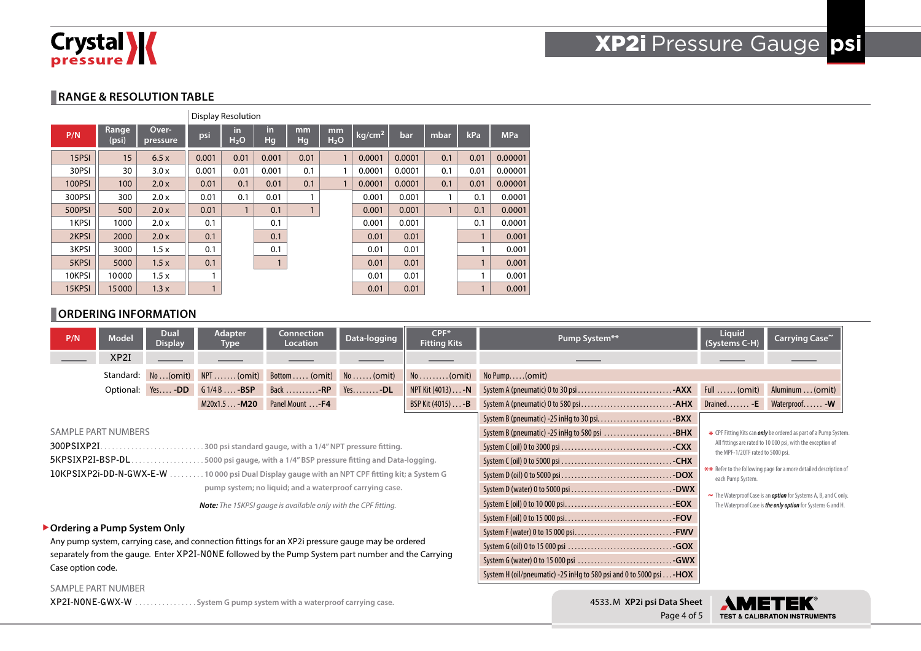

#### **RANGE & RESOLUTION TABLE**

|               |                |                   |       | <b>Display Resolution</b> |                 |           |                        |                    |        |              |              |            |
|---------------|----------------|-------------------|-------|---------------------------|-----------------|-----------|------------------------|--------------------|--------|--------------|--------------|------------|
| P/N           | Range<br>(psi) | Over-<br>pressure | psi   | in.<br>H <sub>2</sub> O   | in<br><b>Hg</b> | mm<br>Hg/ | mm<br>H <sub>2</sub> O | kg/cm <sup>2</sup> | bar    | mbar         | kPa          | <b>MPa</b> |
| 15PSI         | 15             | 6.5x              | 0.001 | 0.01                      | 0.001           | 0.01      |                        | 0.0001             | 0.0001 | 0.1          | 0.01         | 0.00001    |
| 30PSI         | 30             | 3.0x              | 0.001 | 0.01                      | 0.001           | 0.1       |                        | 0.0001             | 0.0001 | 0.1          | 0.01         | 0.00001    |
| <b>100PSI</b> | 100            | 2.0x              | 0.01  | 0.1                       | 0.01            | 0.1       |                        | 0.0001             | 0.0001 | 0.1          | 0.01         | 0.00001    |
| 300PSI        | 300            | 2.0 x             | 0.01  | 0.1                       | 0.01            |           |                        | 0.001              | 0.001  | 1            | 0.1          | 0.0001     |
| <b>500PSI</b> | 500            | 2.0x              | 0.01  | 1                         | 0.1             |           |                        | 0.001              | 0.001  | $\mathbf{1}$ | 0.1          | 0.0001     |
| 1KPSI         | 1000           | 2.0 x             | 0.1   |                           | 0.1             |           |                        | 0.001              | 0.001  |              | 0.1          | 0.0001     |
| 2KPSI         | 2000           | 2.0x              | 0.1   |                           | 0.1             |           |                        | 0.01               | 0.01   |              | $\mathbf{1}$ | 0.001      |
| 3KPSI         | 3000           | 1.5x              | 0.1   |                           | 0.1             |           |                        | 0.01               | 0.01   |              | 1            | 0.001      |
| 5KPSI         | 5000           | 1.5x              | 0.1   |                           |                 |           |                        | 0.01               | 0.01   |              | 1            | 0.001      |
| 10KPSI        | 10000          | 1.5x              |       |                           |                 |           |                        | 0.01               | 0.01   |              |              | 0.001      |
| 15KPSI        | 15000          | 1.3x              |       |                           |                 |           |                        | 0.01               | 0.01   |              |              | 0.001      |

#### **ORDERING INFORMATION**

| P/N                                                                                                                                | <b>Model</b>        | <b>Dual</b><br><b>Display</b> | <b>Adapter</b><br>Type | Connection<br><b>Location</b>                                       | Data-logging       | CPF*<br><b>Fitting Kits</b>                                           | Pump System**                                                                          | Liquid<br>(Systems C-H)                                                                          | Carrying Case~             |  |  |
|------------------------------------------------------------------------------------------------------------------------------------|---------------------|-------------------------------|------------------------|---------------------------------------------------------------------|--------------------|-----------------------------------------------------------------------|----------------------------------------------------------------------------------------|--------------------------------------------------------------------------------------------------|----------------------------|--|--|
|                                                                                                                                    | XP2I                |                               |                        |                                                                     |                    |                                                                       |                                                                                        |                                                                                                  |                            |  |  |
|                                                                                                                                    | Standard:           | No(omit)                      | $NPI$ (omit)           | Bottom (omit)                                                       | $No \ldots (omit)$ | $No \ldots \ldots (omit)$                                             | No Pump(omit)                                                                          |                                                                                                  |                            |  |  |
|                                                                                                                                    |                     | Optional: Yes-DD              | $G1/4B$ $-BSP$         | Back $\dots\dots\dots$                                              | $Yes. -DL$         | NPT Kit (4013) - N                                                    |                                                                                        |                                                                                                  | Aluminum  (omit)           |  |  |
|                                                                                                                                    |                     |                               | $M20x1.5 - M20$        | Panel Mount -F4                                                     |                    | BSP Kit (4015) - <b>B</b>                                             |                                                                                        |                                                                                                  | Drained - E Waterproof - W |  |  |
|                                                                                                                                    |                     |                               |                        |                                                                     |                    |                                                                       | System B (pneumatic) -25 in Hq to 30 psi. $\ldots$ . - BXX                             |                                                                                                  |                            |  |  |
|                                                                                                                                    | SAMPLE PART NUMBERS |                               |                        |                                                                     |                    |                                                                       | System B (pneumatic) -25 inHg to 580 psi BHX                                           | * CPF Fitting Kits can <i>only</i> be ordered as part of a Pump System.                          |                            |  |  |
| .300 psi standard gauge, with a 1/4" NPT pressure fitting.                                                                         |                     |                               |                        |                                                                     |                    |                                                                       |                                                                                        | All fittings are rated to 10 000 psi, with the exception of<br>the MPF-1/2QTF rated to 5000 psi. |                            |  |  |
|                                                                                                                                    | 5KPSIXP2I-BSP-DL    |                               |                        | .5000 psi gauge, with a 1/4" BSP pressure fitting and Data-logging. |                    |                                                                       |                                                                                        |                                                                                                  |                            |  |  |
| 10KPSIXP2i-DD-N-GWX-E-W<br>10 000 psi Dual Display gauge with an NPT CPF fitting kit; a System G                                   |                     |                               |                        |                                                                     |                    |                                                                       | ** Refer to the following page for a more detailed description of<br>each Pump System. |                                                                                                  |                            |  |  |
| pump system; no liquid; and a waterproof carrying case.                                                                            |                     |                               |                        |                                                                     |                    |                                                                       |                                                                                        | ~ The Waterproof Case is an <b>option</b> for Systems A, B, and C only.                          |                            |  |  |
| <b>Note:</b> The 15KPSI gauge is available only with the CPF fitting.                                                              |                     |                               |                        |                                                                     |                    |                                                                       |                                                                                        | The Waterproof Case is the only option for Systems G and H.                                      |                            |  |  |
|                                                                                                                                    |                     |                               |                        |                                                                     |                    |                                                                       |                                                                                        |                                                                                                  |                            |  |  |
| ▶ Ordering a Pump System Only<br>Any pump system, carrying case, and connection fittings for an XP2i pressure gauge may be ordered |                     |                               |                        |                                                                     |                    |                                                                       |                                                                                        |                                                                                                  |                            |  |  |
|                                                                                                                                    |                     |                               |                        |                                                                     |                    |                                                                       |                                                                                        |                                                                                                  |                            |  |  |
| separately from the gauge. Enter XP2I-NONE followed by the Pump System part number and the Carrying<br>Case option code.           |                     |                               |                        |                                                                     |                    | System G (water) 0 to 15 000 psi GWX                                  |                                                                                        |                                                                                                  |                            |  |  |
|                                                                                                                                    |                     |                               |                        |                                                                     |                    | System H (oil/pneumatic) -25 in Hg to 580 psi and 0 to 5000 psi - HOX |                                                                                        |                                                                                                  |                            |  |  |
|                                                                                                                                    | . <i>.</i>          |                               |                        |                                                                     |                    |                                                                       |                                                                                        |                                                                                                  |                            |  |  |

#### SAMPLE PART NUMBER

**XP2I-NONE-GWX-W** ................ System G pump system with a waterproof carrying case.